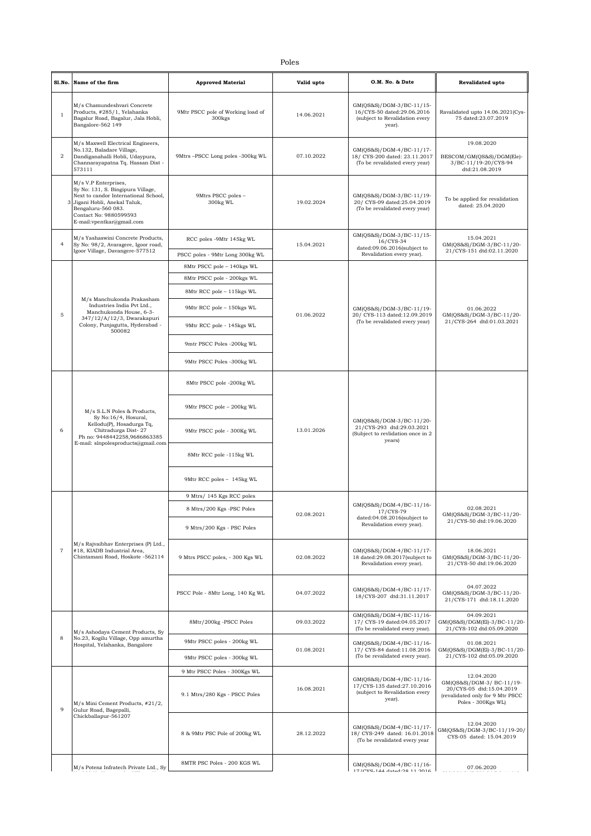|                | Sl.No. Name of the firm                                                                                                                                                                                       | <b>Approved Material</b>                                | Valid upto | O.M. No. & Date                                                                                                                                                                              | Revalidated upto                                                                                                              |
|----------------|---------------------------------------------------------------------------------------------------------------------------------------------------------------------------------------------------------------|---------------------------------------------------------|------------|----------------------------------------------------------------------------------------------------------------------------------------------------------------------------------------------|-------------------------------------------------------------------------------------------------------------------------------|
| $\mathbf{1}$   | M/s Chamundeshvari Concrete<br>Products, #285/1, Yelahanka<br>Bagalur Road, Bagalur, Jala Hobli,<br>Bangalore-562 149                                                                                         | 9Mtr PSCC pole of Working load of<br>300 <sub>kgs</sub> | 14.06.2021 | GM(QS&S)/DGM-3/BC-11/15-<br>16/CYS-50 dated:29.06.2016<br>(subject to Revalidation every<br>year).                                                                                           | Ravalidated upto 14.06.2021(Cys-<br>75 dated:23.07.2019                                                                       |
| $\overline{2}$ | M/s Maxwell Electrical Engineers,<br>No.132, Baladare Village,<br>Dandiganahalli Hobli, Udaypura,<br>Channarayapatna Tq. Hassan Dist -<br>573111                                                              | 9Mtrs -PSCC Long poles -300kg WL                        | 07.10.2022 | GM(QS&S)/DGM-4/BC-11/17-<br>18/ CYS-200 dated: 23.11.2017<br>(To be revalidated every year)                                                                                                  | 19.08.2020<br>BESCOM/GM(QS&S)/DGM(Ele)-<br>3/BC-11/19-20/CYS-94<br>dtd:21.08.2019                                             |
| 3              | M/s V.P Enterprises,<br>Sy No: 131, S. Bingipura Village,<br>Next to candor International School,<br>Jigani Hobli, Anekal Taluk,<br>Bengaluru-560 083.<br>Contact No: 9880599593<br>E-mail:vpentkar@gmail.com | 9Mtrs PSCC poles -<br>300kg WL                          | 19.02.2024 | GM(QS&S)/DGM-3/BC-11/19-<br>20/ CYS-09 dated:25.04.2019<br>(To be revalidated every year)                                                                                                    | To be applied for revalidation<br>dated: 25.04.2020                                                                           |
| $\overline{4}$ | M/s Yashaswini Concrete Products,<br>Sy No: 98/2, Avaragere, Igoor road,                                                                                                                                      | RCC poles -9Mtr 145kg WL                                | 15.04.2021 | GM(QS&S)/DGM-3/BC-11/15-<br>16/CYS-34                                                                                                                                                        | 15.04.2021<br>GM(QS&S)/DGM-3/BC-11/20-                                                                                        |
|                | Igoor Village, Davangere-577512                                                                                                                                                                               | PSCC poles - 9Mtr Long 300kg WL                         |            | dated:09.06.2016(subject to<br>Revalidation every year).                                                                                                                                     | 21/CYS-151 dtd:02.11.2020                                                                                                     |
|                |                                                                                                                                                                                                               | 8Mtr PSCC pole - 140kgs WL                              |            |                                                                                                                                                                                              |                                                                                                                               |
|                |                                                                                                                                                                                                               | 8Mtr PSCC pole - 200kgs WL                              |            |                                                                                                                                                                                              |                                                                                                                               |
|                | M/s Manchukonda Prakasham                                                                                                                                                                                     | 8Mtr RCC pole - 115kgs WL                               |            |                                                                                                                                                                                              |                                                                                                                               |
| 5              | Industries India Pvt Ltd<br>Manchukonda House, 6-3-                                                                                                                                                           | 9Mtr RCC pole - 150kgs WL                               |            | GM(QS&S)/DGM-3/BC-11/19-                                                                                                                                                                     | 01.06.2022                                                                                                                    |
|                | 347/12/A/12/3, Dwarakapuri<br>Colony, Punjagutta, Hyderabad -<br>500082                                                                                                                                       | 9Mtr RCC pole - 145kgs WL                               | 01.06.2022 | 20/ CYS-113 dated:12.09.2019<br>(To be revalidated every year)                                                                                                                               | GM(QS&S)/DGM-3/BC-11/20-<br>21/CYS-264 dtd:01.03.2021                                                                         |
|                |                                                                                                                                                                                                               | 9mtr PSCC Poles -200kg WL                               |            |                                                                                                                                                                                              |                                                                                                                               |
|                |                                                                                                                                                                                                               | 9Mtr PSCC Poles -300kg WL                               |            |                                                                                                                                                                                              |                                                                                                                               |
|                |                                                                                                                                                                                                               | 8Mtr PSCC pole -200kg WL                                | 13.01.2026 | GM(QS&S)/DGM-3/BC-11/20-<br>21/CYS-293 dtd:29.03.2021<br>(Subject to revlidation once in 2)<br>years)                                                                                        |                                                                                                                               |
|                | M/s S.L.N Poles & Products,<br>Sy No:16/4, Hosural,<br>Kellodu(P), Hosadurga Tq,<br>Chitradurga Dist-27<br>Ph no: 9448442258,9686863385<br>E-mail: slnpolesproducts@gmail.com                                 | 9Mtr PSCC pole - 200kg WL                               |            |                                                                                                                                                                                              |                                                                                                                               |
| 6              |                                                                                                                                                                                                               | 9Mtr PSCC pole - 300Kg WL                               |            |                                                                                                                                                                                              |                                                                                                                               |
|                |                                                                                                                                                                                                               | 8Mtr RCC pole -115kg WL                                 |            |                                                                                                                                                                                              |                                                                                                                               |
|                |                                                                                                                                                                                                               | 9Mtr RCC poles - 145kg WL                               |            |                                                                                                                                                                                              |                                                                                                                               |
|                |                                                                                                                                                                                                               | 9 Mtrs/ 145 Kgs RCC poles                               | 02.08.2021 | GM(QS&S)/DGM-4/BC-11/16-<br>17/CYS-79<br>dated:04.08.2016(subject to<br>Revalidation every year).<br>GM(QS&S)/DGM-4/BC-11/17-<br>18 dated:29.08.2017(subject to<br>Revalidation every year). | 02.08.2021<br>GM(QS&S)/DGM-3/BC-11/20-                                                                                        |
|                |                                                                                                                                                                                                               | 8 Mtrs/200 Kgs -PSC Poles                               |            |                                                                                                                                                                                              |                                                                                                                               |
|                |                                                                                                                                                                                                               | 9 Mtrs/200 Kgs - PSC Poles                              |            |                                                                                                                                                                                              | 21/CYS-50 dtd:19.06.2020                                                                                                      |
| $\overline{7}$ | M/s Rajvaibhav Enterprises (P) Ltd.,<br>#18, KIADB Industrial Area,<br>Chintamani Road, Hoskote -562114                                                                                                       | 9 Mtrs PSCC poles, - 300 Kgs WL                         | 02.08.2022 |                                                                                                                                                                                              | 18.06.2021<br>GM(QS&S)/DGM-3/BC-11/20-<br>21/CYS-50 dtd:19.06.2020                                                            |
|                |                                                                                                                                                                                                               | PSCC Pole - 8Mtr Long, 140 Kg WL                        | 04.07.2022 | GM(QS&S)/DGM-4/BC-11/17-<br>18/CYS-207 dtd:31.11.2017                                                                                                                                        | 04.07.2022<br>GM(QS&S)/DGM-3/BC-11/20-<br>21/CYS-171 dtd:18.11.2020                                                           |
|                |                                                                                                                                                                                                               | 8Mtr/200kg -PSCC Poles                                  | 09.03.2022 | GM(QS&S)/DGM-4/BC-11/16-<br>17/ CYS-19 dated:04.05.2017<br>(To be revalidated every year).                                                                                                   | 04.09.2021<br>GM(QS&S)/DGM(El)-3/BC-11/20-<br>21/CYS-102 dtd:05.09.2020                                                       |
| 8              | M/s Ashodaya Cement Products, Sy<br>No.23, Kogilu Village, Opp amurtha<br>Hospital, Yelahanka, Bangalore                                                                                                      | 9Mtr PSCC poles - 200kg WL                              | 01.08.2021 | GM(QS&S)/DGM-4/BC-11/16-<br>17/ CYS-84 dated:11.08.2016<br>(To be revalidated every year).                                                                                                   | 01.08.2021                                                                                                                    |
|                |                                                                                                                                                                                                               | 9Mtr PSCC poles - 300kg WL                              |            |                                                                                                                                                                                              | GM(QS&S)/DGM(El)-3/BC-11/20-<br>21/CYS-102 dtd:05.09.2020                                                                     |
|                |                                                                                                                                                                                                               | 9 Mtr PSCC Poles - 300Kgs WL                            |            |                                                                                                                                                                                              |                                                                                                                               |
| 9              | M/s Mini Cement Products, #21/2,<br>Gulur Road, Bagepalli,                                                                                                                                                    | 9.1 Mtrs/280 Kgs - PSCC Poles                           | 16.08.2021 | GM(QS&S)/DGM-4/BC-11/16-<br>17/CYS-135 dated:27.10.2016<br>(subject to Revalidation every<br>year).                                                                                          | 12.04.2020<br>GM(QS&S)/DGM-3/ BC-11/19-<br>20/CYS-05 dtd:15.04.2019<br>(revalidated only for 9 Mtr PSCC<br>Poles - 300Kgs WL) |
|                | Chickballapur-561207                                                                                                                                                                                          | 8 & 9Mtr PSC Pole of 200kg WL                           | 28.12.2022 | GM(QS&S)/DGM-4/BC-11/17-<br>18/ CYS-249 dated: 16.01.2018<br>(To be revalidated every year                                                                                                   | 12.04.2020<br>GM(QS&S)/DGM-3/BC-11/19-20/<br>CYS-05 dated: 15.04.2019                                                         |
|                | M/s Potenz Infratech Private Ltd., Sy                                                                                                                                                                         | 8MTR PSC Poles - 200 KGS WL                             |            | GM(QS&S)/DGM-4/BC-11/16-<br>17/0VS 144 Antad-08 11 0016                                                                                                                                      | 07.06.2020                                                                                                                    |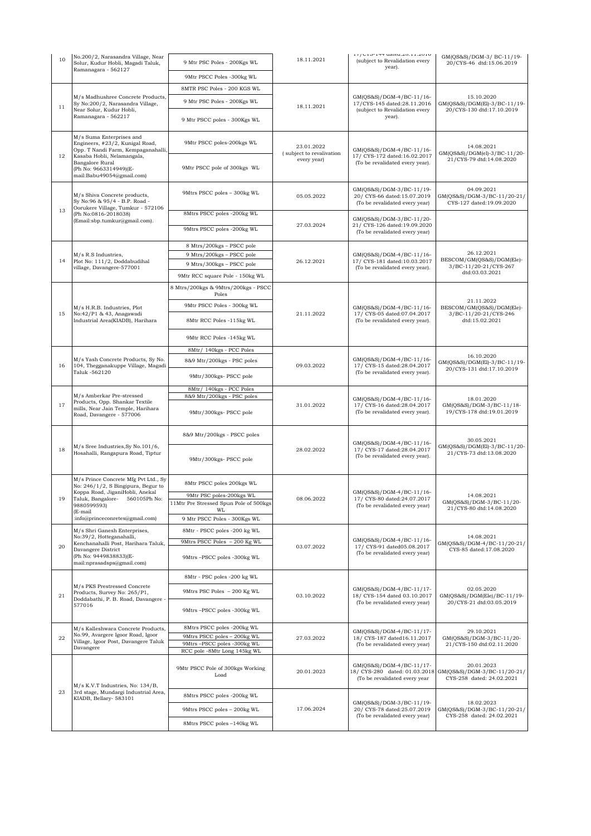| 10 | No.200/2, Narasandra Village, Near<br>Solur, Kudur Hobli, Magadi Taluk,                                                                                                                                         | 9 Mtr PSC Poles - 200Kgs WL                                              | 18.11.2021                                            | 11/010-144 ualcu.20.11.2010<br>(subject to Revalidation every<br>year).                     | GM(QS&S)/DGM-3/ BC-11/19-<br>20/CYS-46 dtd:15.06.2019                              |
|----|-----------------------------------------------------------------------------------------------------------------------------------------------------------------------------------------------------------------|--------------------------------------------------------------------------|-------------------------------------------------------|---------------------------------------------------------------------------------------------|------------------------------------------------------------------------------------|
|    | Ramanagara - 562127                                                                                                                                                                                             | 9Mtr PSCC Poles -300kg WL                                                |                                                       |                                                                                             |                                                                                    |
|    |                                                                                                                                                                                                                 | 8MTR PSC Poles - 200 KGS WL                                              |                                                       |                                                                                             |                                                                                    |
| 11 | M/s Madhushree Concrete Products,<br>Sy No:200/2, Narasandra Village,<br>Near Solur, Kudur Hobli,<br>Ramanagara - 562217                                                                                        | 9 Mtr PSC Poles - 200Kgs WL                                              |                                                       | GM(QS&S)/DGM-4/BC-11/16-<br>17/CYS-145 dated:28.11.2016                                     | 15.10.2020<br>GM(QS&S)/DGM(El)-3/BC-11/19-                                         |
|    |                                                                                                                                                                                                                 | 9 Mtr PSCC poles - 300Kgs WL                                             | 18.11.2021                                            | (subject to Revalidation every<br>year).                                                    | 20/CYS-130 dtd:17.10.2019                                                          |
|    | M/s Suma Enterprises and<br>Engineers, #23/2, Kunigal Road,<br>Opp. T Nandi Farm, Kempaganahalli,<br>12<br>Kasaba Hobli, Nelamangala,<br>Bangalore Rural<br>(Ph No: 9663314949)(E-<br>mail:Babu49054@gmail.com) | 9Mtr PSCC poles-200kgs WL                                                | 23.01.2022<br>(subject to revalivation<br>every year) | GM(QS&S)/DGM-4/BC-11/16-<br>17/ CYS-172 dated:16.02.2017<br>(To be revalidated every year). | 14.08.2021<br>GM(QS&S)/DGM(el)-3/BC-11/20-<br>21/CYS-79 dtd:14.08.2020             |
|    |                                                                                                                                                                                                                 | 9Mtr PSCC pole of 300kgs WL                                              |                                                       |                                                                                             |                                                                                    |
|    | M/s Shiva Concrete products,<br>Sy No:96 & 95/4 - B.P. Road -<br>Oorukere Village, Tumkur - 572106                                                                                                              | 9Mtrs PSCC poles - 300kg WL                                              | 05.05.2022                                            | GM(QS&S)/DGM-3/BC-11/19-<br>20/ CYS-66 dated:15.07.2019<br>(To be revalidated every year)   | 04.09.2021<br>GM(QS&S)/DGM-3/BC-11/20-21/<br>CYS-127 dated:19.09.2020              |
| 13 | (Ph No:0816-2018038)<br>(Email:sbp.tumkur@gmail.com).                                                                                                                                                           | 8Mtrs PSCC poles -200kg WL                                               |                                                       | GM(QS&S)/DGM-3/BC-11/20-                                                                    |                                                                                    |
|    |                                                                                                                                                                                                                 | 9Mtrs PSCC poles -200kg WL                                               | 27.03.2024                                            | 21/ CYS-126 dated:19.09.2020<br>(To be revalidated every year)                              |                                                                                    |
|    | M/s R.S Industries,                                                                                                                                                                                             | 8 Mtrs/200kgs - PSCC pole                                                |                                                       |                                                                                             | 26.12.2021                                                                         |
| 14 | Plot No: 111/2, Doddabudihal                                                                                                                                                                                    | 9 Mtrs/200kgs - PSCC pole<br>9 Mtrs/300kgs - PSCC pole                   | 26.12.2021                                            | GM(QS&S)/DGM-4/BC-11/16-<br>17/ CYS-181 dated:10.03.2017                                    | BESCOM/GM(QS&S)/DGM(Ele)-                                                          |
|    | village, Davangere-577001                                                                                                                                                                                       | 9Mtr RCC square Pole - 150kg WL                                          |                                                       | (To be revalidated every year).                                                             | 3/BC-11/20-21/CYS-267<br>dtd:03.03.2021                                            |
|    |                                                                                                                                                                                                                 | 8 Mtrs/200kgs & 9Mtrs/200kgs - PSCC<br>Poles                             |                                                       |                                                                                             |                                                                                    |
|    | M/s H.R.B. Industries, Plot                                                                                                                                                                                     | 9Mtr PSCC Poles - 300kg WL                                               |                                                       | GM(QS&S)/DGM-4/BC-11/16-                                                                    | 21.11.2022<br>BESCOM/GM(QS&S)/DGM(Ele)-<br>3/BC-11/20-21/CYS-246<br>dtd:15.02.2021 |
| 15 | No:42/P1 & 43, Anagawadi<br>Industrial Area(KIADB), Harihara                                                                                                                                                    | 8Mtr RCC Poles -115kg WL                                                 | 21.11.2022                                            | 17/ CYS-05 dated:07.04.2017<br>(To be revalidated every year).                              |                                                                                    |
|    |                                                                                                                                                                                                                 | 9Mtr RCC Poles -145kg WL                                                 |                                                       |                                                                                             |                                                                                    |
|    |                                                                                                                                                                                                                 | 8Mtr/ 140kgs - PCC Poles                                                 | 09.03.2022                                            | GM(QS&S)/DGM-4/BC-11/16-<br>17/ CYS-15 dated:28.04.2017<br>(To be revalidated every year).  |                                                                                    |
| 16 | M/s Yash Concrete Products, Sy No.<br>104, Thegganakuppe Village, Magadi<br>Taluk -562120                                                                                                                       | 8&9 Mtr/200kgs - PSC poles                                               |                                                       |                                                                                             | 16.10.2020<br>GM(QS&S)/DGM(El)-3/BC-11/19-                                         |
|    |                                                                                                                                                                                                                 | 9Mtr/300kgs- PSCC pole                                                   |                                                       |                                                                                             | 20/CYS-131 dtd:17.10.2019                                                          |
|    | M/s Amberkar Pre-stressed<br>Products, Opp. Shankar Textile<br>mills, Near Jain Temple, Harihara<br>Road, Davangere - 577006                                                                                    | 8Mtr/ 140kgs - PCC Poles<br>8&9 Mtr/200kgs - PSC poles                   |                                                       | GM(QS&S)/DGM-4/BC-11/16-<br>17/ CYS-16 dated:28.04.2017<br>(To be revalidated every year).  | 18.01.2020<br>GM(QS&S)/DGM-3/BC-11/18-<br>19/CYS-178 dtd:19.01.2019                |
| 17 |                                                                                                                                                                                                                 | 9Mtr/300kgs- PSCC pole                                                   | 31.01.2022                                            |                                                                                             |                                                                                    |
|    | M/s Sree Industries, Sy No.101/6,<br>Hosahalli, Rangapura Road, Tiptur                                                                                                                                          | 8&9 Mtr/200kgs - PSCC poles                                              | 28.02.2022                                            | GM(QS&S)/DGM-4/BC-11/16-<br>17/ CYS-17 dated:28.04.2017<br>(To be revalidated every year).  | 30.05.2021<br>GM(QS&S)/DGM(El)-3/BC-11/20-<br>21/CYS-73 dtd:13.08.2020             |
| 18 |                                                                                                                                                                                                                 | 9Mtr/300kgs- PSCC pole                                                   |                                                       |                                                                                             |                                                                                    |
|    | M/s Prince Concrete Mfg Pvt Ltd., Sy<br>No: 246/1/2, S Bingipura, Begur to<br>Koppa Road, JiganiHobli, Anekal<br>560105Ph No:<br>Taluk, Bangalore-<br>9880599593)<br>(E-mail                                    | 8Mtr PSCC poles 200kgs WL                                                | 08.06.2022                                            | GM(QS&S)/DGM-4/BC-11/16-<br>17/ CYS-80 dated:24.07.2017<br>(To be revalidated every year)   |                                                                                    |
| 19 |                                                                                                                                                                                                                 | 9Mtr PSC poles-200kgs WL<br>11Mtr Pre Stressed Spun Pole of 500kgs<br>WL |                                                       |                                                                                             | 14.08.2021<br>GM(QS&S)/DGM-3/BC-11/20-<br>21/CYS-80 dtd:14.08.2020                 |
|    | :info@princeconretes@gmail.com)                                                                                                                                                                                 | 9 Mtr PSCC Poles - 300Kgs WL                                             |                                                       |                                                                                             |                                                                                    |
|    | M/s Shri Ganesh Enterprises,<br>No:39/2, Hotteganahalli,<br>Kenchanahalli Post, Harihara Taluk,<br>Davangere District<br>(Ph No: 9449838833)(E-<br>mail:nprasadsps@gmail.com)                                   | 8Mtr - PSCC poles -200 kg WL<br>9Mtrs PSCC Poles - 200 Kg WL             | 03.07.2022                                            | GM(QS&S)/DGM-4/BC-11/16-<br>17/ CYS-91 dated05.08.2017<br>(To be revalidated every year)    | 14.08.2021<br>GM(QS&S)/DGM-4/BC-11/20-21/<br>CYS-85 dated:17.08.2020               |
| 20 |                                                                                                                                                                                                                 | 9Mtrs-PSCC poles -300kg WL                                               |                                                       |                                                                                             |                                                                                    |
|    | M/s PKS Prestressed Concrete<br>Products, Survey No: 265/P1,<br>Doddabathi, P. B. Road, Davangere -<br>577016                                                                                                   | 8Mtr - PSC poles -200 kg WL                                              |                                                       | GM(QS&S)/DGM-4/BC-11/17-<br>18/ CYS-154 dated 03.10.2017<br>(To be revalidated every year)  |                                                                                    |
| 21 |                                                                                                                                                                                                                 | 9Mtrs PSC Poles - 200 Kg WL                                              | 03.10.2022                                            |                                                                                             | 02.05.2020<br>GM(QS&S)/DGM(Ele)/BC-11/19-                                          |
|    |                                                                                                                                                                                                                 | 9Mtrs-PSCC poles -300kg WL                                               |                                                       |                                                                                             | 20/CYS-21 dtd:03.05.2019                                                           |
|    | M/s Kalleshwara Concrete Products,<br>No.99, Avargere Igoor Road, Igoor<br>Village, Igoor Post, Davangere Taluk                                                                                                 | 8Mtrs PSCC poles -200kg WL                                               | 27.03.2022                                            | GM(QS&S)/DGM-4/BC-11/17-<br>18/ CYS-187 dated16.11.2017<br>(To be revalidated every year)   | 29.10.2021                                                                         |
| 22 |                                                                                                                                                                                                                 | 9Mtrs PSCC poles - 200kg WL<br>9Mtrs-PSCC poles -300kg WL                |                                                       |                                                                                             | GM(QS&S)/DGM-3/BC-11/20-<br>21/CYS-150 dtd:02.11.2020                              |
|    | Davangere                                                                                                                                                                                                       | RCC pole -8Mtr Long 145kg WL                                             |                                                       |                                                                                             |                                                                                    |
|    | M/s K.V.T Industries, No: 134/B,                                                                                                                                                                                | 9Mtr PSCC Pole of 300kgs Working<br>Load                                 | 20.01.2023                                            | GM(QS&S)/DGM-4/BC-11/17-<br>18/ CYS-280 dated: 01.03.2018<br>(To be revalidated every year  | 20.01.2023<br>GM(QS&S)/DGM-3/BC-11/20-21/<br>CYS-258 dated: 24.02.2021             |
| 23 | 3rd stage, Mundargi Industrial Area,<br>KIADB, Bellary- 583101                                                                                                                                                  | 8Mtrs PSCC poles -200kg WL                                               |                                                       |                                                                                             |                                                                                    |
|    |                                                                                                                                                                                                                 | 9Mtrs PSCC poles - 200kg WL                                              | 17.06.2024                                            | GM(QS&S)/DGM-3/BC-11/19-<br>20/ CYS-78 dated:25.07.2019                                     | 18.02.2023<br>GM(QS&S)/DGM-3/BC-11/20-21/                                          |
|    |                                                                                                                                                                                                                 | 8Mtrs PSCC poles -140kg WL                                               |                                                       | (To be revalidated every year)                                                              | CYS-258 dated: 24.02.2021                                                          |
|    |                                                                                                                                                                                                                 |                                                                          |                                                       |                                                                                             |                                                                                    |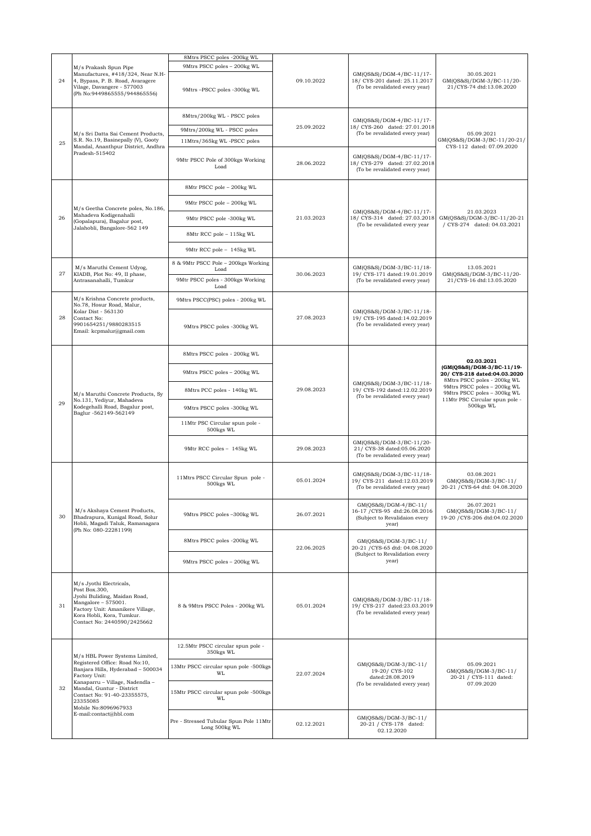|                                                           |                                                                                                                                                                                                                                                           | 8Mtrs PSCC poles -200kg WL                              |                                                  |                                                                                                    |                                                                                              |
|-----------------------------------------------------------|-----------------------------------------------------------------------------------------------------------------------------------------------------------------------------------------------------------------------------------------------------------|---------------------------------------------------------|--------------------------------------------------|----------------------------------------------------------------------------------------------------|----------------------------------------------------------------------------------------------|
| M/s Prakash Spun Pipe<br>24<br>Vilage, Davangere - 577003 |                                                                                                                                                                                                                                                           | 9Mtrs PSCC poles - 200kg WL                             |                                                  | GM(QS&S)/DGM-4/BC-11/17-<br>18/ CYS-201 dated: 25.11.2017<br>(To be revalidated every year)        |                                                                                              |
|                                                           | Manufactures, #418/324, Near N.H-<br>4, Bypass, P. B. Road, Avaragere<br>(Ph No:9449865555/944865556)                                                                                                                                                     | 9Mtrs-PSCC poles -300kg WL                              | 09.10.2022                                       |                                                                                                    | 30.05.2021<br>GM(QS&S)/DGM-3/BC-11/20-<br>21/CYS-74 dtd:13.08.2020                           |
| 25                                                        | M/s Sri Datta Sai Cement Products,<br>S.R. No.19, Basinepally (V), Gooty                                                                                                                                                                                  | 8Mtrs/200kg WL - PSCC poles                             |                                                  | GM(QS&S)/DGM-4/BC-11/17-                                                                           |                                                                                              |
|                                                           |                                                                                                                                                                                                                                                           | 9Mtrs/200kg WL - PSCC poles                             | 25.09.2022                                       | 18/ CYS-260 dated: 27.01.2018<br>(To be revalidated every year)                                    | 05.09.2021                                                                                   |
|                                                           |                                                                                                                                                                                                                                                           | 11Mtrs/365kg WL-PSCC poles                              |                                                  |                                                                                                    | GM(QS&S)/DGM-3/BC-11/20-21/                                                                  |
|                                                           | Mandal, Ananthpur District, Andhra<br>Pradesh-515402                                                                                                                                                                                                      | 9Mtr PSCC Pole of 300kgs Working<br>Load                | 28.06.2022                                       | GM(QS&S)/DGM-4/BC-11/17-<br>18/ CYS-279 dated: 27.02.2018<br>(To be revalidated every year)        | CYS-112 dated: 07.09.2020                                                                    |
|                                                           |                                                                                                                                                                                                                                                           | 8Mtr PSCC pole - 200kg WL                               |                                                  |                                                                                                    |                                                                                              |
|                                                           | M/s Geetha Concrete poles, No.186,                                                                                                                                                                                                                        | 9Mtr PSCC pole - 200kg WL                               |                                                  | GM(QS&S)/DGM-4/BC-11/17-                                                                           | 21.03.2023                                                                                   |
| 26                                                        | Mahadeva Kodigenahalli<br>(Gopalapura), Bagalur post,<br>Jalahobli, Bangalore-562 149                                                                                                                                                                     | 9Mtr PSCC pole -300kg WL                                | 21.03.2023                                       | 18/ CYS-314 dated: 27.03.2018<br>(To be revalidated every year                                     | GM(QS&S)/DGM-3/BC-11/20-21<br>/ CYS-274 dated: 04.03.2021                                    |
|                                                           |                                                                                                                                                                                                                                                           | 8Mtr RCC pole - 115kg WL                                |                                                  |                                                                                                    |                                                                                              |
|                                                           |                                                                                                                                                                                                                                                           | 9Mtr RCC pole - 145kg WL                                |                                                  |                                                                                                    |                                                                                              |
| 27                                                        | M/s Maruthi Cement Udyog,<br>KIADB, Plot No: 49, II phase,                                                                                                                                                                                                | 8 & 9Mtr PSCC Pole - 200kgs Working<br>Load             | 30.06.2023                                       | GM(QS&S)/DGM-3/BC-11/18-                                                                           | 13.05.2021<br>GM(QS&S)/DGM-3/BC-11/20-                                                       |
|                                                           | Antrasanahalli, Tumkur                                                                                                                                                                                                                                    | 9Mtr PSCC poles - 300kgs Working<br>Load                |                                                  | 19/ CYS-171 dated:19.01.2019<br>(To be revalidated every year)                                     | 21/CYS-16 dtd:13.05.2020                                                                     |
|                                                           | M/s Krishna Concrete products,<br>No.78, Hosur Road, Malur,                                                                                                                                                                                               | 9Mtrs PSCC(PSC) poles - 200kg WL                        |                                                  |                                                                                                    |                                                                                              |
| 28                                                        | Kolar Dist - 563130<br>Contact No:<br>9901654251/9880283515<br>Email: kcpmalur@gmail.com                                                                                                                                                                  | 9Mtrs PSCC poles -300kg WL                              | 27.08.2023                                       | GM(QS&S)/DGM-3/BC-11/18-<br>19/ CYS-195 dated:14.02.2019<br>(To be revalidated every year)         |                                                                                              |
|                                                           |                                                                                                                                                                                                                                                           | 8Mtrs PSCC poles - 200kg WL                             |                                                  | GM(QS&S)/DGM-3/BC-11/18-<br>19/ CYS-192 dated:12.02.2019<br>(To be revalidated every year)         | 02.03.2021                                                                                   |
|                                                           |                                                                                                                                                                                                                                                           | 9Mtrs PSCC poles - 200kg WL                             |                                                  |                                                                                                    | (GM(QS&S)/DGM-3/BC-11/19-<br>20/ CYS-218 dated:04.03.2020<br>8Mtrs PSCC poles - 200kg WL     |
|                                                           | M/s Maruthi Concrete Products, Sy<br>No.131, Yediyur, Mahadeva<br>Kodegehalli Road, Bagalur post,<br>Baglur -562149-562149                                                                                                                                | 8Mtrs PCC poles - 140kg WL                              | 29.08.2023                                       |                                                                                                    | 9Mtrs PSCC poles - 200kg WL<br>9Mtrs PSCC poles - 300kg WL<br>11Mtr PSC Circular spun pole - |
| 29                                                        |                                                                                                                                                                                                                                                           | 9Mtrs PSCC poles -300kg WL                              |                                                  |                                                                                                    | 500kgs WL                                                                                    |
|                                                           |                                                                                                                                                                                                                                                           | 11Mtr PSC Circular spun pole -<br>500kgs WL             |                                                  |                                                                                                    |                                                                                              |
|                                                           |                                                                                                                                                                                                                                                           | 9Mtr RCC poles - 145kg WL                               | 29.08.2023                                       | GM(QS&S)/DGM-3/BC-11/20-<br>21/ CYS-38 dated:05.06.2020<br>(To be revalidated every year)          |                                                                                              |
|                                                           | M/s Akshaya Cement Products,<br>Bhadrapura, Kunigal Road, Solur<br>Hobli, Magadi Taluk, Ramanagara<br>(Ph No: 080-22281199)                                                                                                                               | 11Mtrs PSCC Circular Spun pole -<br>500kgs WL           | 05.01.2024                                       | GM(QS&S)/DGM-3/BC-11/18-<br>19/ CYS-211 dated:12.03.2019<br>(To be revalidated every year)         | 03.08.2021<br>GM(QS&S)/DGM-3/BC-11/<br>20-21 / CYS-64 dtd: 04.08.2020                        |
| 30                                                        |                                                                                                                                                                                                                                                           | 9Mtrs PSCC poles -300kg WL                              | 26.07.2021                                       | GM(QS&S)/DGM-4/BC-11/<br>16-17 / CYS-95 dtd:26.08.2016<br>(Subject to Revalidaion every<br>year)   | 26.07.2021<br>GM(QS&S)/DGM-3/BC-11/<br>19-20 / CYS-206 dtd:04.02.2020                        |
|                                                           |                                                                                                                                                                                                                                                           | 8Mtrs PSCC poles -200kg WL                              | 22.06.2025                                       | GM(QS&S)/DGM-3/BC-11/<br>20-21 / CYS-65 dtd: 04.08.2020<br>(Subject to Revalidation every<br>year) |                                                                                              |
|                                                           |                                                                                                                                                                                                                                                           | 9Mtrs PSCC poles - 200kg WL                             |                                                  |                                                                                                    |                                                                                              |
| 31                                                        | M/s Jyothi Electricals,<br>Post Box.300,<br>Jyohi Buliding, Maidan Road,<br>$Mangalore - 575001.$<br>Factory Unit: Amanikere Village,<br>Kora Hobli, Kora, Tumkur.<br>Contact No: 2440590/2425662                                                         | 8 & 9Mtrs PSCC Poles - 200kg WL                         | 05.01.2024                                       | GM(QS&S)/DGM-3/BC-11/18-<br>19/ CYS-217 dated:23.03.2019<br>(To be revalidated every year)         |                                                                                              |
| 32                                                        | M/s HBL Power Systems Limited,<br>Registered Office: Road No:10,<br>Banjara Hills, Hyderabad - 500034<br>Factory Unit:<br>Kanaparru - Village, Nadendla -<br>Mandal, Guntur - District<br>Contact No: 91-40-23355575,<br>23355085<br>Mobile No:8096967933 | 12.5Mtr PSCC circular spun pole -<br>350kgs WL          | 19-20/ CYS-102<br>22.07.2024<br>dated:28.08.2019 | GM(QS&S)/DGM-3/BC-11/                                                                              |                                                                                              |
|                                                           |                                                                                                                                                                                                                                                           | 13Mtr PSCC circular spun pole -500kgs<br>WL             |                                                  |                                                                                                    | 05.09.2021<br>GM(QS&S)/DGM-3/BC-11/<br>20-21 / CYS-111 dated:                                |
|                                                           |                                                                                                                                                                                                                                                           | 15Mtr PSCC circular spun pole -500kgs<br>WL             |                                                  | (To be revalidated every year)                                                                     | 07.09.2020                                                                                   |
|                                                           | E-mail:contact@hbl.com                                                                                                                                                                                                                                    | Pre - Stressed Tubular Spun Pole 11Mtr<br>Long 500kg WL | 02.12.2021                                       | GM(QS&S)/DGM-3/BC-11/<br>20-21 / CYS-178 dated:<br>02.12.2020                                      |                                                                                              |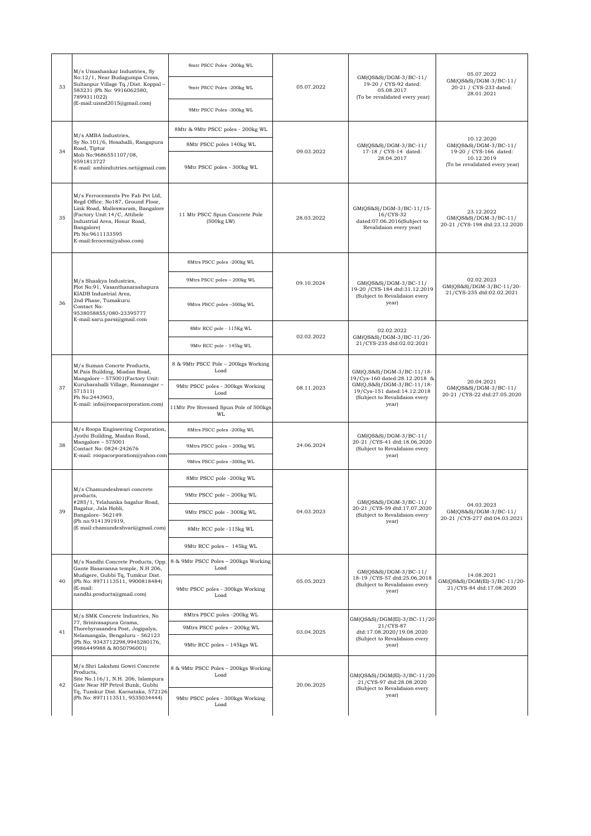|    | M/s Umashankar Industries, Sy<br>No:12/1, Near Budagumpa Cross,<br>Sultanpur Village Tq./Dist. Koppal-<br>583231 (Ph No: 9916062580,<br>7899311022)<br>(E-mail:uisnd2015@gmail.com)                                                        | 8mtr PSCC Poles -200kg WL                    | 05.07.2022 | GM(QS&S)/DGM-3/BC-11/<br>19-20 / CYS-92 dated:<br>05.08.2017<br>(To be revalidated every year)                                                                   | 05.07.2022<br>GM(QS&S)/DGM-3/BC-11/<br>20-21 / CYS-233 dated:<br>28.01.2021                                   |
|----|--------------------------------------------------------------------------------------------------------------------------------------------------------------------------------------------------------------------------------------------|----------------------------------------------|------------|------------------------------------------------------------------------------------------------------------------------------------------------------------------|---------------------------------------------------------------------------------------------------------------|
| 33 |                                                                                                                                                                                                                                            | 9mtr PSCC Poles -200kg WL                    |            |                                                                                                                                                                  |                                                                                                               |
|    |                                                                                                                                                                                                                                            | 9Mtr PSCC Poles -300kg WL                    |            |                                                                                                                                                                  |                                                                                                               |
| 34 | M/s AMBA Industries,<br>Sy No.101/6, Hosahalli, Rangapura<br>Road, Tiptur<br>Mob No:9686551107/08,<br>9591813727<br>E-mail: ambindutries.net@gmail.com                                                                                     | 8Mtr & 9Mtr PSCC poles - 200kg WL            |            |                                                                                                                                                                  | 10.12.2020<br>GM(QS&S)/DGM-3/BC-11/<br>19-20 / CYS-166 dated:<br>10.12.2019<br>(To be revalidated every year) |
|    |                                                                                                                                                                                                                                            | 8Mtr PSCC poles 140kg WL                     |            | $GM(QS&S)/DGM-3/BC-11/$<br>17-18 / CYS-14 dated:<br>28.04.2017                                                                                                   |                                                                                                               |
|    |                                                                                                                                                                                                                                            | 9Mtr PSCC poles - 300kg WL                   | 09.03.2022 |                                                                                                                                                                  |                                                                                                               |
| 35 | M/s Ferrocements Pre Fab Pvt Ltd,<br>Regd Office: No187, Ground Floor,<br>Link Road, Malleswaram, Bangalore<br>(Factory Unit:14/C, Attibele<br>Industrial Area, Hosur Road,<br>Bangalore)<br>Ph No:9611133595<br>E-mail:ferocem@yahoo.com) | 11 Mtr PSCC Spun Concrete Pole<br>(500kg LW) | 28.03.2022 | GM(QS&S)/DGM-3/BC-11/15-<br>16/CYS-32<br>dated:07.06.2016(Subject to<br>Revalidaion every year)                                                                  | 23.12.2022<br>GM(QS&S)/DGM-3/BC-11/<br>20-21 / CYS-198 dtd:23.12.2020                                         |
|    |                                                                                                                                                                                                                                            | 8Mtrs PSCC poles -200kg WL                   |            |                                                                                                                                                                  |                                                                                                               |
|    | M/s Shaakya Industries,                                                                                                                                                                                                                    | 9Mtrs PSCC poles - 200kg WL                  | 09.10.2024 | GM(QS&S)/DGM-3/BC-11/                                                                                                                                            | 02.02.2023                                                                                                    |
| 36 | Plot No:91, Vasanthanarashapura<br>KIADB Industrial Area,<br>2nd Phase, Tumakuru<br>Contact No:<br>9538058855/080-23395777<br>E-mail:saru.parsi@gmail.com                                                                                  | 9Mtrs PSCC poles -300kg WL                   |            | 19-20 / CYS-184 dtd:31.12.2019<br>(Subject to Revalidaion every<br>year)                                                                                         | GM(QS&S)/DGM-3/BC-11/20-<br>21/CYS-235 dtd:02.02.2021                                                         |
|    |                                                                                                                                                                                                                                            | 8Mtr RCC pole - 115Kg WL                     | 02.02.2022 | 02.02.2022<br>GM(QS&S)/DGM-3/BC-11/20-<br>21/CYS-235 dtd:02.02.2021                                                                                              |                                                                                                               |
|    |                                                                                                                                                                                                                                            | 9Mtr RCC pole - 145kg WL                     |            |                                                                                                                                                                  |                                                                                                               |
|    | M/s Suman Concrte Products,<br>M.Pais Building, Miadan Road,<br>Mangalore - 575001(Factory Unit:<br>Kurubarahalli Village, Ramanagar -<br>571511)<br>Ph No:2443903,<br>E-mail: info@roopacorporation.com)                                  | 8 & 9Mtr PSCC Pole - 200kgs Working<br>Load  | 08.11.2023 | GM(Q,S&S)/DGM-3/BC-11/18-<br>19/Cys-160 dated:28.12.2018 &<br>GM(Q,S&S)/DGM-3/BC-11/18-<br>19/Cys-151 dated:14.12.2018<br>(Subject to Revalidaion every<br>year) | 20.04.2021<br>GM(QS&S)/DGM-3/BC-11/<br>20-21 / CYS-22 dtd:27.05.2020                                          |
| 37 |                                                                                                                                                                                                                                            | 9Mtr PSCC poles - 300kgs Working<br>Load     |            |                                                                                                                                                                  |                                                                                                               |
|    |                                                                                                                                                                                                                                            | 11Mtr Pre Stressed Spun Pole of 500kgs<br>WL |            |                                                                                                                                                                  |                                                                                                               |
|    | M/s Roopa Engineering Corporation,<br>Jyothi Building, Maidan Road,<br>Mangalore - 575001<br>Contact No: 0824-242676<br>E-mail: roopacorporation@yahoo.com                                                                                 | 8Mtrs PSCC poles -200kg WL                   | 24.06.2024 | GM(QS&S)/DGM-3/BC-11/<br>20-21 / CYS-41 dtd:18.06.2020<br>(Subject to Revalidaion every<br>year)                                                                 |                                                                                                               |
| 38 |                                                                                                                                                                                                                                            | 9Mtrs PSCC poles - 200kg WL                  |            |                                                                                                                                                                  |                                                                                                               |
|    |                                                                                                                                                                                                                                            | 9Mtrs PSCC poles -300kg WL                   |            |                                                                                                                                                                  |                                                                                                               |
|    | M/s Chamundeshwari concrete<br>products,<br>#285/1, Yelahanka bagalur Road,<br>Bagalur, Jala Hobli,<br>Bangalore-562149.<br>(Ph no:9141391919,<br>(E mail:chamundeshvari@gmail.com)                                                        | 8Mtr PSCC pole -200kg WL                     | 04.03.2023 | GM(QS&S)/DGM-3/BC-11/<br>20-21 / CYS-59 dtd:17.07.2020<br>(Subject to Revalidaion every<br>year)                                                                 |                                                                                                               |
|    |                                                                                                                                                                                                                                            | 9Mtr PSCC pole - 200kg WL                    |            |                                                                                                                                                                  | 04.03.2023<br>GM(QS&S)/DGM-3/BC-11/<br>20-21 / CYS-277 dtd:04.03.2021                                         |
| 39 |                                                                                                                                                                                                                                            | 9Mtr PSCC pole - 300Kg WL                    |            |                                                                                                                                                                  |                                                                                                               |
|    |                                                                                                                                                                                                                                            | 8Mtr RCC pole -115kg WL                      |            |                                                                                                                                                                  |                                                                                                               |
|    |                                                                                                                                                                                                                                            | 9Mtr RCC poles - 145kg WL                    |            |                                                                                                                                                                  |                                                                                                               |
|    | M/s Nandhi Concrete Products, Opp.<br>Gante Basavanna temple, N.H 206,<br>Mudigere, Gubbi Tq, Tumkur Dist.<br>(Ph No: 8971113511, 9900818484)<br>(E-mail:<br>nandhi.products@gmail.com)                                                    | 8 & 9Mtr PSCC Poles - 200kgs Working<br>Load |            | GM(OS&S)/DGM-3/BC-11/<br>18-19 / CYS-57 dtd:25.06.2018<br>(Subject to Revalidaion every<br>year)                                                                 |                                                                                                               |
| 40 |                                                                                                                                                                                                                                            | 9Mtr PSCC poles - 300kgs Working<br>Load     | 05.05.2023 |                                                                                                                                                                  | 14.08.2021<br>GM(QS&S)/DGM(El)-3/BC-11/20-<br>21/CYS-84 dtd:17.08.2020                                        |
| 41 | M/s SMK Concrete Industries, No<br>77, Srinivasapura Grama,<br>Thorebyrasandra Post, Jogipalya,<br>Nelamangala, Bengaluru - 562123<br>(Ph No: 9343712298,9945280176,<br>9986449988 & 8050796001)                                           | 8Mtrs PSCC poles -200kg WL                   | 03.04.2025 | GM(QS&S)/DGM(El)-3/BC-11/20-<br>21/CYS-87<br>dtd:17.08.2020/19.08.2020<br>(Subject to Revalidaion every<br>year)                                                 |                                                                                                               |
|    |                                                                                                                                                                                                                                            | 9Mtrs PSCC poles - 200kg WL                  |            |                                                                                                                                                                  |                                                                                                               |
|    |                                                                                                                                                                                                                                            | 9Mtr RCC poles - 145kgs WL                   |            |                                                                                                                                                                  |                                                                                                               |
| 42 | M/s Shri Lakshmi Gowri Concrete<br>Products,<br>Site No.116/1, N.H. 206, Islampura<br>Gate Near HP Petrol Bunk, Gubbi<br>Tq, Tumkur Dist. Karnataka, 572126<br>(Ph No: 8971113511, 9535034444)                                             | 8 & 9Mtr PSCC Poles - 200kgs Working<br>Load | 20.06.2025 | GM(QS&S)/DGM(El)-3/BC-11/20-<br>21/CYS-97 dtd:28.08.2020<br>(Subject to Revalidaion every<br>year)                                                               |                                                                                                               |
|    |                                                                                                                                                                                                                                            | 9Mtr PSCC poles - 300kgs Working<br>Load     |            |                                                                                                                                                                  |                                                                                                               |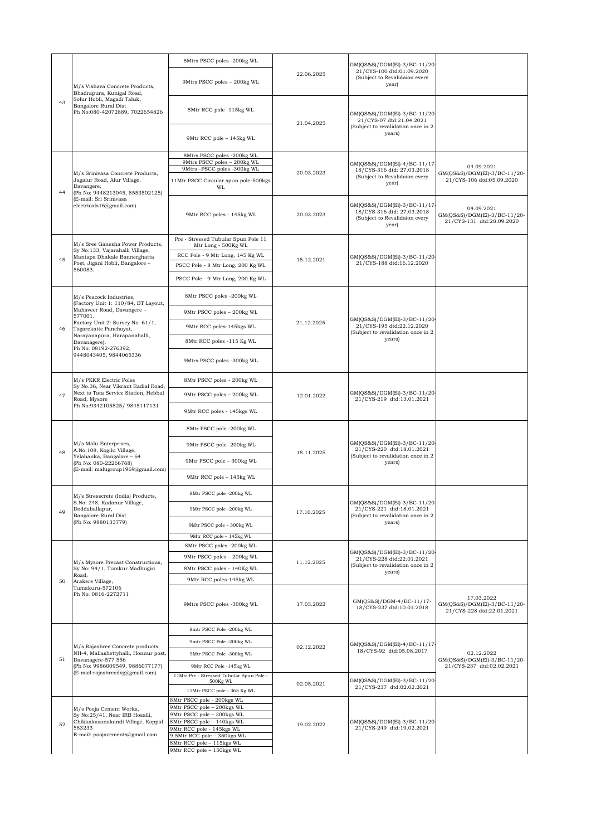|    |                                                                                                                                                                        | 8Mtrs PSCC poles -200kg WL                                |            |                                                                                                           |                                                                         |
|----|------------------------------------------------------------------------------------------------------------------------------------------------------------------------|-----------------------------------------------------------|------------|-----------------------------------------------------------------------------------------------------------|-------------------------------------------------------------------------|
| 43 | M/s Vishava Concrete Products,<br>Bhadrapura, Kunigal Road,                                                                                                            | 9Mtrs PSCC poles - 200kg WL                               | 22.06.2025 | GM(QS&S)/DGM(El)-3/BC-11/20-<br>21/CYS-100 dtd:01.09.2020<br>(Subject to Revalidaion every<br>year)       |                                                                         |
|    | Solur Hobli, Magadi Taluk,<br>Bangalore Rural Dist<br>Ph No:080-42072889, 7022654826                                                                                   | 8Mtr RCC pole -115kg WL                                   | 21.04.2025 | GM(QS&S)/DGM(El)-3/BC-11/20-<br>21/CYS-07 dtd:21.04.2021                                                  |                                                                         |
|    |                                                                                                                                                                        | 9Mtr RCC pole - 145kg WL                                  |            | (Subject to revalidation once in 2<br>years)                                                              |                                                                         |
|    |                                                                                                                                                                        | 8Mtrs PSCC poles -200kg WL<br>9Mtrs PSCC poles - 200kg WL |            |                                                                                                           |                                                                         |
|    |                                                                                                                                                                        | 9Mtrs-PSCC poles -300kg WL                                | 20.03.2023 | GM(QS&S)/DGM(El)-4/BC-11/17-<br>18/CYS-316 dtd: 27.03.2018                                                | 04.09.2021<br>GM(QS&S)/DGM(El)-3/BC-11/20-                              |
| 44 | M/s Srinivasa Concrete Products,<br>Jagalur Road, Alur Village,<br>Davangere.<br>(Ph No: 9448213045, 8553502125)<br>(E-mail: Sri Srinivasa<br>electricals16@gmail.com) | 11Mtr PSCC Circular spun pole-500kgs<br>WI.               |            | (Subject to Revalidaion every<br>year)                                                                    | 21/CYS-106 dtd:05.09.2020                                               |
|    |                                                                                                                                                                        | 9Mtr RCC poles - 145kg WL                                 | 20.03.2023 | GM(QS&S)/DGM(El)-3/BC-11/17<br>18/CYS-316 dtd: 27.03.2018<br>(Subject to Revalidaion every<br>year)       | 04.09.2021<br>GM(QS&S)/DGM(El)-3/BC-11/20-<br>21/CYS-131 dtd:28.09.2020 |
|    | M/s Sree Ganesha Power Products,                                                                                                                                       | Pre - Stressed Tubular Spun Pole 11                       |            |                                                                                                           |                                                                         |
|    | Sy No:133, Vajarahalli Village,                                                                                                                                        | Mtr Long - 500Kg WL<br>RCC Pole - 9 Mtr Long, 145 Kg WL   |            |                                                                                                           |                                                                         |
| 45 | Mantapa Dhakale Bannerghatta<br>Post, Jigani Hobli, Bangalore -                                                                                                        | PSCC Pole - 8 Mtr Long, 200 Kg WL                         | 15.12.2021 | GM(QS&S)/DGM(El)-3/BC-11/20-<br>21/CYS-188 dtd:16.12.2020                                                 |                                                                         |
|    | 560083.                                                                                                                                                                | PSCC Pole - 9 Mtr Long, 200 Kg WL                         |            |                                                                                                           |                                                                         |
|    |                                                                                                                                                                        |                                                           |            |                                                                                                           |                                                                         |
|    | M/s Peacock Industries,<br>(Factory Unit 1: 110/84, BT Layout,                                                                                                         | 8Mtr PSCC poles -200kg WL                                 |            |                                                                                                           |                                                                         |
|    | Mahaveer Road, Davangere -<br>577001.<br>Factory Unit 2: Survey No. 61/1,                                                                                              | 9Mtr PSCC poles - 200kg WL                                | 21.12.2025 | GM(QS&S)/DGM(El)-3/BC-11/20-                                                                              |                                                                         |
| 46 | Togarekatte Panchayat,<br>Narayanapura, Harapanahalli,                                                                                                                 | 9Mtr RCC poles-145kgs WL                                  |            | 21/CYS-195 dtd:22.12.2020<br>(Subject to revalidation once in 2                                           |                                                                         |
|    | Davanagere).<br>Ph No: 08192-276392,                                                                                                                                   | 8Mtr RCC poles -115 Kg WL                                 |            | years)                                                                                                    |                                                                         |
|    | 9448043405, 9844065336                                                                                                                                                 | 9Mtrs PSCC poles -300kg WL                                |            |                                                                                                           |                                                                         |
|    | M/s PKKR Electric Poles<br>Sy No.36, Near Vikrant Radial Road,<br>Next to Tata Service Station, Hebbal<br>Road, Mysore<br>Ph No:9342105825/ 9845117131                 | 8Mtr PSCC poles - 200kg WL                                | 12.01.2022 | GM(QS&S)/DGM(El)-3/BC-11/20-<br>21/CYS-219 dtd:13.01.2021                                                 |                                                                         |
| 47 |                                                                                                                                                                        | 9Mtr PSCC poles - 200kg WL                                |            |                                                                                                           |                                                                         |
|    |                                                                                                                                                                        | 9Mtr RCC poles - 145kgs WL                                |            |                                                                                                           |                                                                         |
|    | M/s Malu Enterprises.<br>A.No: 108, Kogilu Village,<br>Yelahanka, Bangalore - 64<br>(Ph No: 080-22266768)                                                              | 8Mtr PSCC pole -200kg WL                                  |            | GM(QS&S)/DGM(El)-3/BC-11/20-<br>21/CYS-220 dtd:18.01.2021<br>(Subject to revalidation once in 2<br>years) |                                                                         |
|    |                                                                                                                                                                        | 9Mtr PSCC pole -200kg WL                                  |            |                                                                                                           |                                                                         |
| 48 |                                                                                                                                                                        | 9Mtr PSCC pole - 300kg WL                                 | 18.11.2025 |                                                                                                           |                                                                         |
|    | (E-mail: malugroup1969@gmail.com)                                                                                                                                      | 9Mtr RCC pole - 145kg WL                                  |            |                                                                                                           |                                                                         |
|    |                                                                                                                                                                        | 8Mtr PSCC pole -200kg WL                                  |            |                                                                                                           |                                                                         |
|    | M/s Stresscrete (India) Products,<br>S.No: 248, Kadanur Village,<br>Doddaballapur,<br>Bangalore Rural Dist<br>(Ph No: 9880133779)                                      |                                                           |            | GM(QS&S)/DGM(El)-3/BC-11/20-                                                                              |                                                                         |
| 49 |                                                                                                                                                                        | 9Mtr PSCC pole -200kg WL                                  | 17.10.2025 | 21/CYS-221 dtd:18.01.2021<br>(Subject to revalidation once in 2<br>years)                                 |                                                                         |
|    |                                                                                                                                                                        | $9\mathrm{Mtr}$ PSCC pole – $300\mathrm{kg}$ WL           |            |                                                                                                           |                                                                         |
|    |                                                                                                                                                                        | 9Mtr RCC pole - 145kg WL                                  |            |                                                                                                           |                                                                         |
|    | M/s Mysore Precast Constructions,                                                                                                                                      | 8Mtr PSCC poles -200kg WL                                 | 11.12.2025 | GM(QS&S)/DGM(El)-3/BC-11/20-<br>21/CYS-228 dtd:22.01.2021<br>(Subject to revalidation once in 2<br>years) |                                                                         |
|    |                                                                                                                                                                        | 9Mtr PSCC poles - 200kg WL                                |            |                                                                                                           |                                                                         |
|    | Sy No: 94/1, Tumkur Madhugiri<br>Road,                                                                                                                                 | 8Mtr PSCC poles - 140Kg WL                                |            |                                                                                                           |                                                                         |
| 50 | Arakere Village,<br>Tumakuru-572106                                                                                                                                    | 9Mtr RCC poles-145kg WL                                   |            |                                                                                                           |                                                                         |
|    | Ph No: 0816-2272711                                                                                                                                                    | 9Mtrs PSCC poles -300kg WL                                | 17.03.2022 | GM(QS&S)/DGM-4/BC-11/17-<br>18/CYS-237 dtd:10.01.2018                                                     | 17.03.2022<br>GM(QS&S)/DGM(El)-3/BC-11/20-<br>21/CYS-228 dtd:22.01.2021 |
| 51 |                                                                                                                                                                        | 8mtr PSCC Pole -200kg WL                                  |            |                                                                                                           |                                                                         |
|    |                                                                                                                                                                        | 9mtr PSCC Pole -200kg WL                                  |            | GM(QS&S)/DGM(El)-4/BC-11/17                                                                               |                                                                         |
|    | M/s Rajashree Concrete products,<br>NH-4, Mallashettyhalli, Honnur post,                                                                                               | 9Mtr PSCC Pole -300kg WL                                  | 02.12.2022 | 18/CYS-92 dtd:05.08.2017                                                                                  | 02.12.2022                                                              |
|    | Davanagere-577 556<br>(Ph No: 9986009549, 9886077177)                                                                                                                  | 9Mtr RCC Pole -145kg WL                                   |            |                                                                                                           | GM(QS&S)/DGM(El)-3/BC-11/20-<br>21/CYS-237 dtd:02.02.2021               |
|    | (E-mail:rajashreedvg@gmail.com)                                                                                                                                        | 11Mtr Pre - Stressed Tubular Spun Pole -                  |            |                                                                                                           |                                                                         |
|    |                                                                                                                                                                        | 500Kg WL<br>11Mtr PSCC pole - 365 Kg WL                   | 02.05.2021 | GM(QS&S)/DGM(El)-3/BC-11/20-<br>21/CYS-237 dtd:02.02.2021                                                 |                                                                         |
|    |                                                                                                                                                                        | 8Mtr PSCC pole - 200kgs WL                                |            |                                                                                                           |                                                                         |
|    | M/s Pooja Cement Works,                                                                                                                                                | 9Mtr PSCC pole - 200kgs WL                                |            |                                                                                                           |                                                                         |
| 52 | Sy No:25/41, Near IRB Hosalli,<br>Chikkakasanakandi Village, Koppal                                                                                                    | 9Mtr PSCC pole - 300kgs WL<br>8Mtr PSCC pole - 140kgs WL  | 19.02.2022 | GM(QS&S)/DGM(El)-3/BC-11/20-                                                                              |                                                                         |
|    | 583233<br>E-mail: poojacements@gmail.com                                                                                                                               | 9Mtr RCC pole - 145kgs WL<br>9.5Mtr RCC pole - 350kgs WL  |            | 21/CYS-249 dtd:19.02.2021                                                                                 |                                                                         |
|    |                                                                                                                                                                        | 8Mtr RCC pole - 115kgs WL                                 |            |                                                                                                           |                                                                         |
|    |                                                                                                                                                                        | 9Mtr RCC pole - 150kgs WL                                 |            |                                                                                                           |                                                                         |